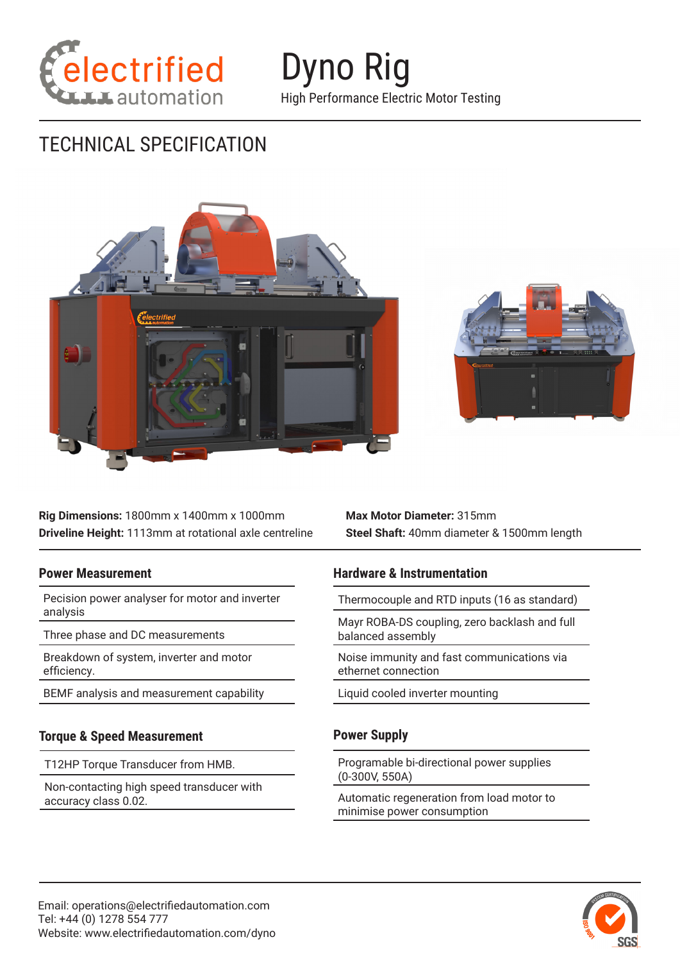

Dyno Rig High Performance Electric Motor Testing

# TECHNICAL SPECIFICATION



**Rig Dimensions:** 1800mm x 1400mm x 1000mm **Driveline Height:** 1113mm at rotational axle centreline **Max Motor Diameter:** 315mm **Steel Shaft:** 40mm diameter & 1500mm length

#### **Power Measurement**

Pecision power analyser for motor and inverter analysis

Three phase and DC measurements

Breakdown of system, inverter and motor efficiency.

BEMF analysis and measurement capability

### **Torque & Speed Measurement**

T12HP Torque Transducer from HMB.

Non-contacting high speed transducer with accuracy class 0.02.

### **Hardware & Instrumentation**

Thermocouple and RTD inputs (16 as standard)

Mayr ROBA-DS coupling, zero backlash and full balanced assembly

Noise immunity and fast communications via ethernet connection

Liquid cooled inverter mounting

### **Power Supply**

Programable bi-directional power supplies (0-300V, 550A)

Automatic regeneration from load motor to minimise power consumption

![](_page_0_Picture_22.jpeg)